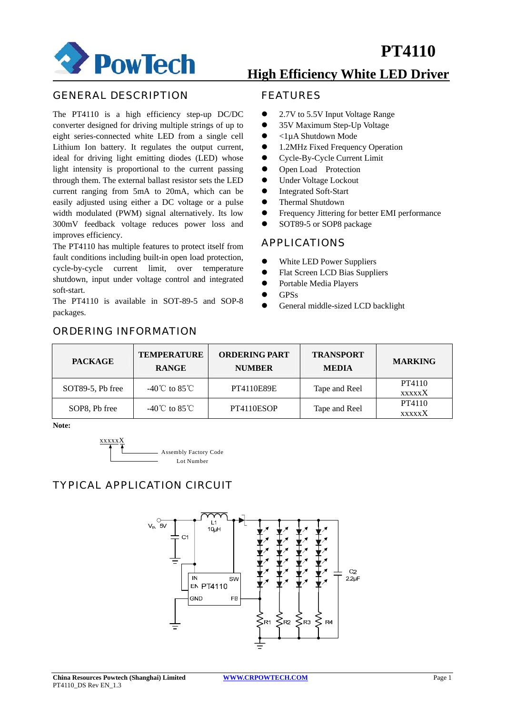

## GENERAL DESCRIPTION

The PT4110 is a high efficiency step-up DC/DC converter designed for driving multiple strings of up to eight series-connected white LED from a single cell Lithium Ion battery. It regulates the output current, ideal for driving light emitting diodes (LED) whose light intensity is proportional to the current passing through them. The external ballast resistor sets the LED current ranging from 5mA to 20mA, which can be easily adjusted using either a DC voltage or a pulse width modulated (PWM) signal alternatively. Its low 300mV feedback voltage reduces power loss and improves efficiency.

The PT4110 has multiple features to protect itself from fault conditions including built-in open load protection, cycle-by-cycle current limit, over temperature shutdown, input under voltage control and integrated soft-start.

The PT4110 is available in SOT-89-5 and SOP-8 packages.

ORDERING INFORMATION

## **High Efficiency White LED Driver**

## FEATURES

- 2.7V to 5.5V Input Voltage Range
- 35V Maximum Step-Up Voltage
- $\bullet$  <1uA Shutdown Mode
- 1.2MHz Fixed Frequency Operation
- Cycle-By-Cycle Current Limit
- Open Load Protection
- Under Voltage Lockout
- Integrated Soft-Start
- Thermal Shutdown
- Frequency Jittering for better EMI performance
- SOT89-5 or SOP8 package

## APPLICATIONS

- White LED Power Suppliers
- Flat Screen LCD Bias Suppliers
- Portable Media Players
- $\bullet$  GPSs
- General middle-sized LCD backlight

| <b>PACKAGE</b>   | <b>TEMPERATURE</b><br><b>RANGE</b> | <b>ORDERING PART</b><br><b>NUMBER</b> | <b>TRANSPORT</b><br><b>MEDIA</b> | <b>MARKING</b>          |
|------------------|------------------------------------|---------------------------------------|----------------------------------|-------------------------|
| SOT89-5, Pb free | -40°C to 85°C                      | PT4110E89E                            | Tape and Reel                    | PT4110<br><b>XXXXXX</b> |
| SOP8, Pb free    | -40°C to 85°C                      | PT4110ESOP                            | Tape and Reel                    | PT4110<br><b>XXXXXX</b> |

**Note:** 



## TYPICAL APPLICATION CIRCUIT

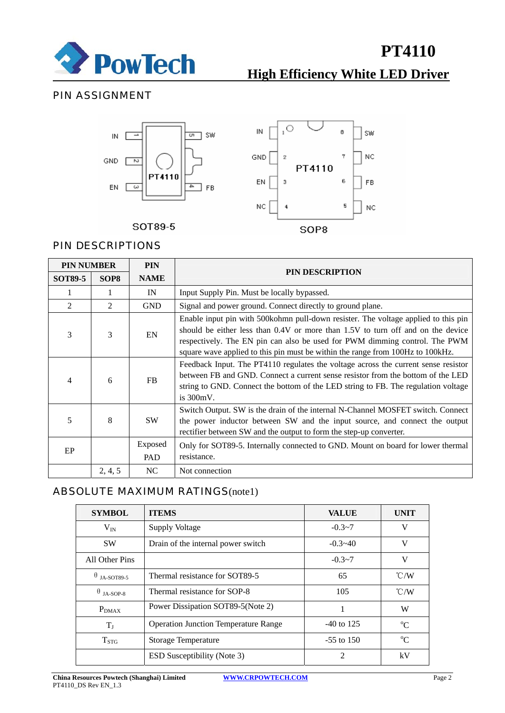

# **High Efficiency White LED Driver**

## PIN ASSIGNMENT



SOT89-5



## PIN DESCRIPTIONS

| <b>PIN NUMBER</b> |                  | <b>PIN</b>     | <b>PIN DESCRIPTION</b>                                                                                                                                                                                                                                                                                                                 |  |
|-------------------|------------------|----------------|----------------------------------------------------------------------------------------------------------------------------------------------------------------------------------------------------------------------------------------------------------------------------------------------------------------------------------------|--|
| <b>SOT89-5</b>    | SOP <sub>8</sub> | <b>NAME</b>    |                                                                                                                                                                                                                                                                                                                                        |  |
|                   |                  | IN             | Input Supply Pin. Must be locally bypassed.                                                                                                                                                                                                                                                                                            |  |
| 2                 | 2                | <b>GND</b>     | Signal and power ground. Connect directly to ground plane.                                                                                                                                                                                                                                                                             |  |
| 3                 | 3                | EN             | Enable input pin with 500 kohmn pull-down resister. The voltage applied to this pin<br>should be either less than 0.4V or more than 1.5V to turn off and on the device<br>respectively. The EN pin can also be used for PWM dimming control. The PWM<br>square wave applied to this pin must be within the range from 100Hz to 100kHz. |  |
| 4                 | 6                | <b>FB</b>      | Feedback Input. The PT4110 regulates the voltage across the current sense resistor<br>between FB and GND. Connect a current sense resistor from the bottom of the LED<br>string to GND. Connect the bottom of the LED string to FB. The regulation voltage<br>is $300mV$ .                                                             |  |
| 5                 | 8                | <b>SW</b>      | Switch Output. SW is the drain of the internal N-Channel MOSFET switch. Connect<br>the power inductor between SW and the input source, and connect the output<br>rectifier between SW and the output to form the step-up converter.                                                                                                    |  |
| EP                |                  | Exposed<br>PAD | Only for SOT89-5. Internally connected to GND. Mount on board for lower thermal<br>resistance.                                                                                                                                                                                                                                         |  |
|                   | 2, 4, 5          | NC             | Not connection                                                                                                                                                                                                                                                                                                                         |  |

## ABSOLUTE MAXIMUM RATINGS(note1)

| <b>SYMBOL</b>     | <b>ITEMS</b>                                | <b>VALUE</b> | <b>UNIT</b>   |
|-------------------|---------------------------------------------|--------------|---------------|
| $V_{IN}$          | <b>Supply Voltage</b>                       | $-0.3 - 7$   | V             |
| <b>SW</b>         | Drain of the internal power switch          | $-0.3 - 40$  | V             |
| All Other Pins    |                                             | $-0.3 - 7$   | V             |
| <b>JA-SOT89-5</b> | Thermal resistance for SOT89-5              | 65           | $\degree$ C/W |
| θ<br>JA-SOP-8     | Thermal resistance for SOP-8                | 105          | $\degree$ C/W |
| $P_{DMAX}$        | Power Dissipation SOT89-5(Note 2)           | 1            | W             |
| $T_{J}$           | <b>Operation Junction Temperature Range</b> | $-40$ to 125 | $^{\circ}C$   |
| $T_{STG}$         | Storage Temperature                         | $-55$ to 150 | $\rm ^{o}C$   |
|                   | <b>ESD Susceptibility (Note 3)</b>          | 2            | kV            |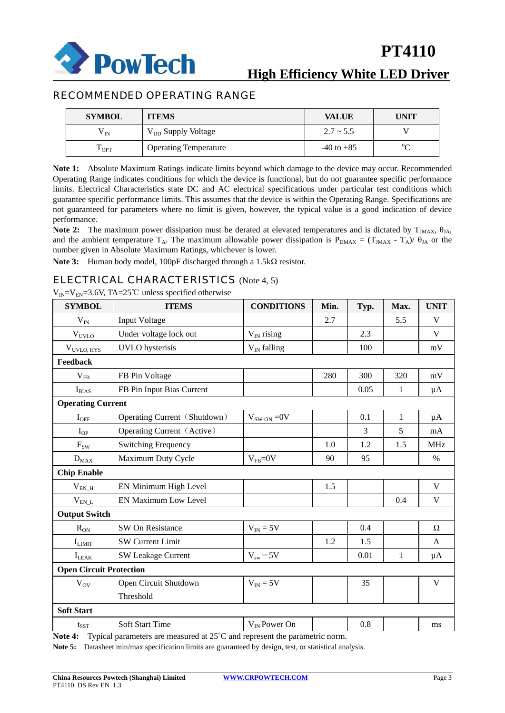

## RECOMMENDED OPERATING RANGE

| <b>SYMBOL</b>  | <b>ITEMS</b>                   | <b>VALUE</b>   | UNIT   |
|----------------|--------------------------------|----------------|--------|
| $\rm V_{IN}$   | V <sub>DD</sub> Supply Voltage | $2.7 \sim 5.5$ |        |
| $1_{\rm{OPT}}$ | <b>Operating Temperature</b>   | $-40$ to $+85$ | $\sim$ |

**Note 1:** Absolute Maximum Ratings indicate limits beyond which damage to the device may occur. Recommended Operating Range indicates conditions for which the device is functional, but do not guarantee specific performance limits. Electrical Characteristics state DC and AC electrical specifications under particular test conditions which guarantee specific performance limits. This assumes that the device is within the Operating Range. Specifications are not guaranteed for parameters where no limit is given, however, the typical value is a good indication of device performance.

**Note 2:** The maximum power dissipation must be derated at elevated temperatures and is dictated by  $T_{\text{MAX}}$ ,  $\theta_{\text{IA}}$ , and the ambient temperature T<sub>A</sub>. The maximum allowable power dissipation is  $P_{DMAX} = (T_{JMAX} - T_A)/\theta_{JA}$  or the number given in Absolute Maximum Ratings, whichever is lower.

**Note 3:** Human body model, 100pF discharged through a 1.5kΩ resistor.

## ELECTRICAL CHARACTERISTICS (Note 4, 5)

 $V_{IN} = V_{EN} = 3.6V$ , TA=25°C unless specified otherwise

| <b>SYMBOL</b>                  | <b>ITEMS</b>                 | <b>CONDITIONS</b> | Min. | Typ. | Max.         | <b>UNIT</b> |
|--------------------------------|------------------------------|-------------------|------|------|--------------|-------------|
| $V_{IN}$                       | <b>Input Voltage</b>         |                   | 2.7  |      | 5.5          | V           |
| $V_{UVLO}$                     | Under voltage lock out       | $V_{IN}$ rising   |      | 2.3  |              | $\mathbf V$ |
| $V_{UVLO, HYS}$                | <b>UVLO</b> hysterisis       | $V_{IN}$ falling  |      | 100  |              | $\rm mV$    |
| Feedback                       |                              |                   |      |      |              |             |
| $V_{FB}$                       | FB Pin Voltage               |                   | 280  | 300  | 320          | mV          |
| $I_{BIAS}$                     | FB Pin Input Bias Current    |                   |      | 0.05 | $\mathbf{1}$ | $\mu A$     |
| <b>Operating Current</b>       |                              |                   |      |      |              |             |
| $I_{\rm OFF}$                  | Operating Current (Shutdown) | $V_{SW-ON} = 0V$  |      | 0.1  | $\mathbf{1}$ | $\mu A$     |
| $I_{OP}$                       | Operating Current (Active)   |                   |      | 3    | 5            | mA          |
| $F_{SW}$                       | <b>Switching Frequency</b>   |                   | 1.0  | 1.2  | 1.5          | <b>MHz</b>  |
| $D_{MAX}$                      | Maximum Duty Cycle           | $V_{FB} = 0V$     | 90   | 95   |              | $\%$        |
| <b>Chip Enable</b>             |                              |                   |      |      |              |             |
| $V_{EN_H}$                     | EN Minimum High Level        |                   | 1.5  |      |              | $\mathbf V$ |
| $\rm V_{EN\_L}$                | EN Maximum Low Level         |                   |      |      | 0.4          | $\mathbf V$ |
| <b>Output Switch</b>           |                              |                   |      |      |              |             |
| $R_{ON}$                       | SW On Resistance             | $V_{IN} = 5V$     |      | 0.4  |              | Ω           |
| $I_{LIMIT}$                    | <b>SW Current Limit</b>      |                   | 1.2  | 1.5  |              | A           |
| $I_{LEAK}$                     | <b>SW Leakage Current</b>    | $V_{sw} = 5V$     |      | 0.01 | 1            | $\mu A$     |
| <b>Open Circuit Protection</b> |                              |                   |      |      |              |             |
| $V_{\rm OV}$                   | Open Circuit Shutdown        | $V_{IN} = 5V$     |      | 35   |              | V           |
|                                | Threshold                    |                   |      |      |              |             |
| <b>Soft Start</b>              |                              |                   |      |      |              |             |
| $t_{\rm SST}$                  | Soft Start Time              | $V_{IN}$ Power On |      | 0.8  |              | ms          |

**Note 4:** Typical parameters are measured at 25˚C and represent the parametric norm.

**Note 5:** Datasheet min/max specification limits are guaranteed by design, test, or statistical analysis.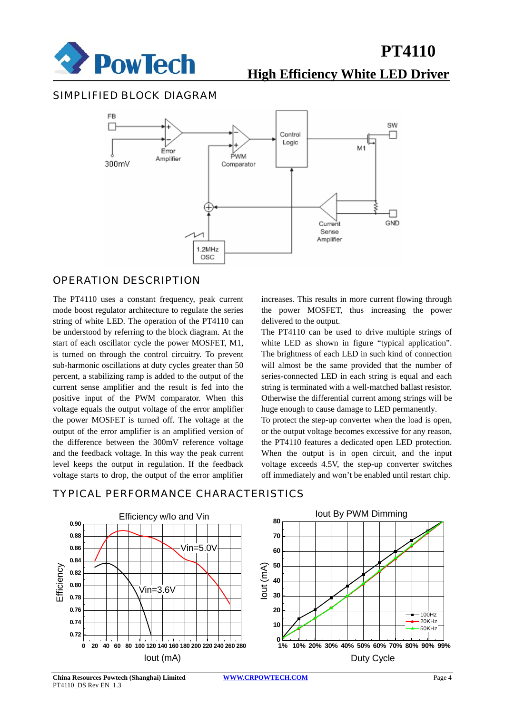

## **High Efficiency White LED Driver**

### SIMPLIFIED BLOCK DIAGRAM



## OPERATION DESCRIPTION

The PT4110 uses a constant frequency, peak current mode boost regulator architecture to regulate the series string of white LED. The operation of the PT4110 can be understood by referring to the block diagram. At the start of each oscillator cycle the power MOSFET, M1, is turned on through the control circuitry. To prevent sub-harmonic oscillations at duty cycles greater than 50 percent, a stabilizing ramp is added to the output of the current sense amplifier and the result is fed into the positive input of the PWM comparator. When this voltage equals the output voltage of the error amplifier the power MOSFET is turned off. The voltage at the output of the error amplifier is an amplified version of the difference between the 300mV reference voltage and the feedback voltage. In this way the peak current level keeps the output in regulation. If the feedback voltage starts to drop, the output of the error amplifier increases. This results in more current flowing through the power MOSFET, thus increasing the power delivered to the output.

The PT4110 can be used to drive multiple strings of white LED as shown in figure "typical application". The brightness of each LED in such kind of connection will almost be the same provided that the number of series-connected LED in each string is equal and each string is terminated with a well-matched ballast resistor. Otherwise the differential current among strings will be huge enough to cause damage to LED permanently.

To protect the step-up converter when the load is open, or the output voltage becomes excessive for any reason, the PT4110 features a dedicated open LED protection. When the output is in open circuit, and the input voltage exceeds 4.5V, the step-up converter switches off immediately and won't be enabled until restart chip.



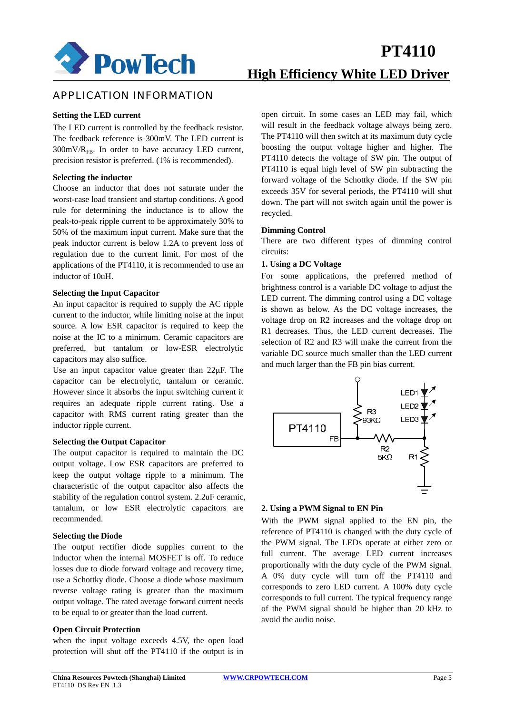

## APPLICATION INFORMATION

#### **Setting the LED current**

The LED current is controlled by the feedback resistor. The feedback reference is 300mV. The LED current is  $300 \text{mV/R}_{FB}$ . In order to have accuracy LED current, precision resistor is preferred. (1% is recommended).

#### **Selecting the inductor**

Choose an inductor that does not saturate under the worst-case load transient and startup conditions. A good rule for determining the inductance is to allow the peak-to-peak ripple current to be approximately 30% to 50% of the maximum input current. Make sure that the peak inductor current is below 1.2A to prevent loss of regulation due to the current limit. For most of the applications of the PT4110, it is recommended to use an inductor of 10uH.

#### **Selecting the Input Capacitor**

An input capacitor is required to supply the AC ripple current to the inductor, while limiting noise at the input source. A low ESR capacitor is required to keep the noise at the IC to a minimum. Ceramic capacitors are preferred, but tantalum or low-ESR electrolytic capacitors may also suffice.

Use an input capacitor value greater than 22μF. The capacitor can be electrolytic, tantalum or ceramic. However since it absorbs the input switching current it requires an adequate ripple current rating. Use a capacitor with RMS current rating greater than the inductor ripple current.

#### **Selecting the Output Capacitor**

The output capacitor is required to maintain the DC output voltage. Low ESR capacitors are preferred to keep the output voltage ripple to a minimum. The characteristic of the output capacitor also affects the stability of the regulation control system. 2.2uF ceramic, tantalum, or low ESR electrolytic capacitors are recommended.

#### **Selecting the Diode**

The output rectifier diode supplies current to the inductor when the internal MOSFET is off. To reduce losses due to diode forward voltage and recovery time, use a Schottky diode. Choose a diode whose maximum reverse voltage rating is greater than the maximum output voltage. The rated average forward current needs to be equal to or greater than the load current.

#### **Open Circuit Protection**

when the input voltage exceeds 4.5V, the open load protection will shut off the PT4110 if the output is in open circuit. In some cases an LED may fail, which will result in the feedback voltage always being zero. The PT4110 will then switch at its maximum duty cycle boosting the output voltage higher and higher. The PT4110 detects the voltage of SW pin. The output of PT4110 is equal high level of SW pin subtracting the forward voltage of the Schottky diode. If the SW pin exceeds 35V for several periods, the PT4110 will shut down. The part will not switch again until the power is recycled.

#### **Dimming Control**

There are two different types of dimming control circuits:

#### **1. Using a DC Voltage**

For some applications, the preferred method of brightness control is a variable DC voltage to adjust the LED current. The dimming control using a DC voltage is shown as below. As the DC voltage increases, the voltage drop on R2 increases and the voltage drop on R1 decreases. Thus, the LED current decreases. The selection of R2 and R3 will make the current from the variable DC source much smaller than the LED current and much larger than the FB pin bias current.



#### **2. Using a PWM Signal to EN Pin**

With the PWM signal applied to the EN pin, the reference of PT4110 is changed with the duty cycle of the PWM signal. The LEDs operate at either zero or full current. The average LED current increases proportionally with the duty cycle of the PWM signal. A 0% duty cycle will turn off the PT4110 and corresponds to zero LED current. A 100% duty cycle corresponds to full current. The typical frequency range of the PWM signal should be higher than 20 kHz to avoid the audio noise.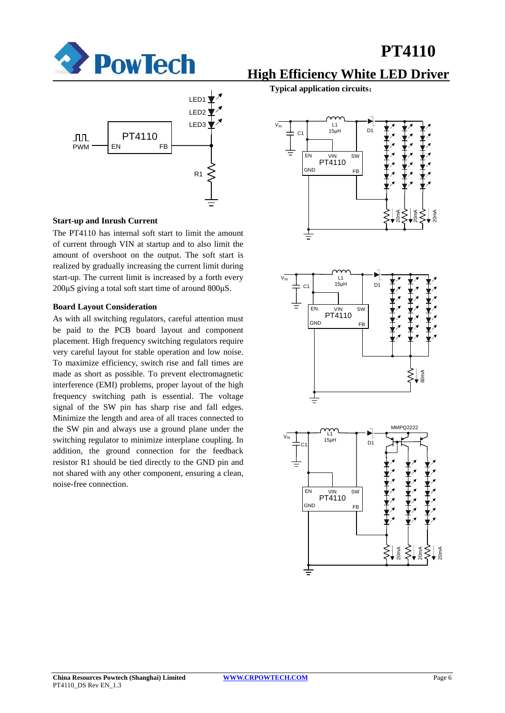



#### **Start-up and Inrush Current**

The PT4110 has internal soft start to limit the amount of current through VIN at startup and to also limit the amount of overshoot on the output. The soft start is realized by gradually increasing the current limit during start-up. The current limit is increased by a forth every 200μS giving a total soft start time of around 800μS.

#### **Board Layout Consideration**

As with all switching regulators, careful attention must be paid to the PCB board layout and component placement. High frequency switching regulators require very careful layout for stable operation and low noise. To maximize efficiency, switch rise and fall times are made as short as possible. To prevent electromagnetic interference (EMI) problems, proper layout of the high frequency switching path is essential. The voltage signal of the SW pin has sharp rise and fall edges. Minimize the length and area of all traces connected to the SW pin and always use a ground plane under the switching regulator to minimize interplane coupling. In addition, the ground connection for the feedback resistor R1 should be tied directly to the GND pin and not shared with any other component, ensuring a clean, noise-free connection.

**High Efficiency White LED Driver**

**Typical application circuits**:





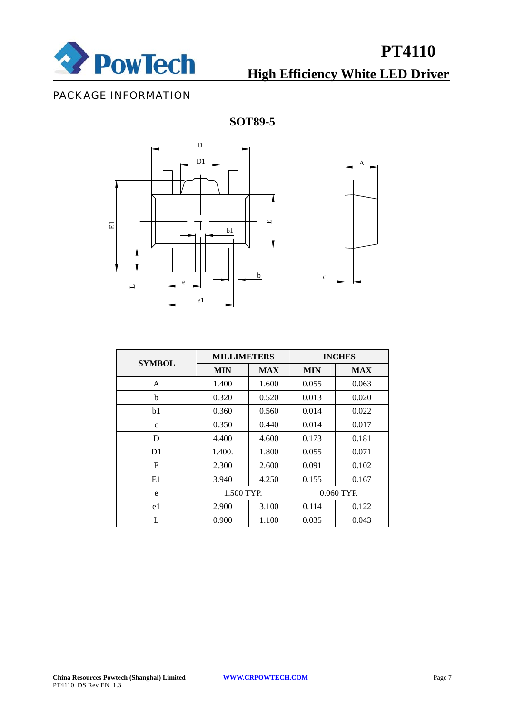

# **High Efficiency White LED Driver**

## PACKAGE INFORMATION

## **SOT89-5**





| <b>SYMBOL</b>  | <b>MILLIMETERS</b> |            | <b>INCHES</b> |            |  |
|----------------|--------------------|------------|---------------|------------|--|
|                | <b>MIN</b>         | <b>MAX</b> | <b>MIN</b>    | <b>MAX</b> |  |
| A              | 1.400              | 1.600      | 0.055         | 0.063      |  |
| b              | 0.320              | 0.520      | 0.013         | 0.020      |  |
| b1             | 0.360              | 0.560      | 0.014         | 0.022      |  |
| $\mathbf{c}$   | 0.350              | 0.440      | 0.014         | 0.017      |  |
| D              | 4.400              | 4.600      | 0.173         | 0.181      |  |
| D <sub>1</sub> | 1.400.             | 1.800      | 0.055         | 0.071      |  |
| E              | 2.300              | 2.600      | 0.091         | 0.102      |  |
| E1             | 3.940              | 4.250      | 0.155         | 0.167      |  |
| e              | 1.500 TYP.         |            | $0.060$ TYP.  |            |  |
| e1             | 2.900              | 3.100      | 0.114         | 0.122      |  |
| L              | 0.900              | 1.100      | 0.035         | 0.043      |  |